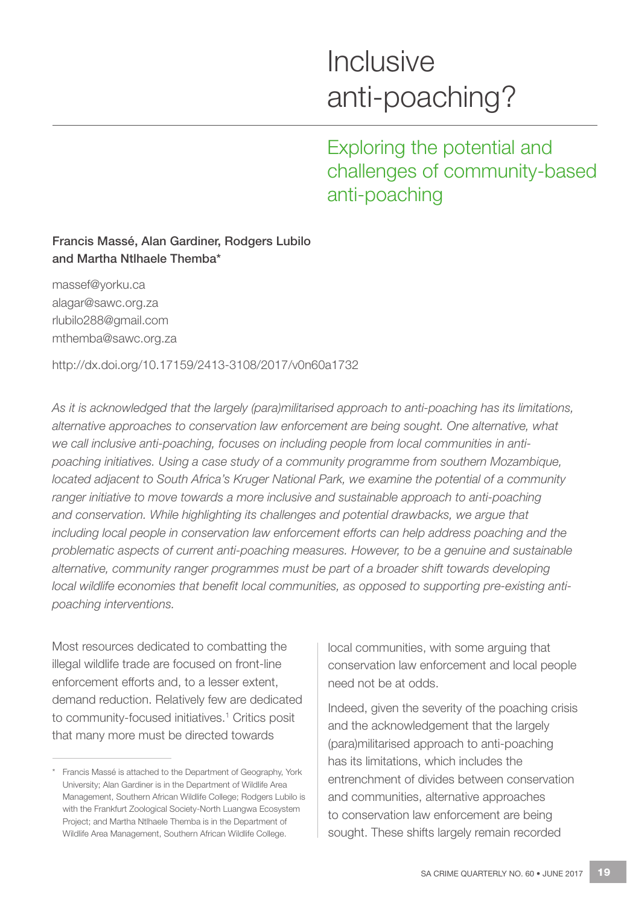# **Inclusive** anti-poaching?

Exploring the potential and challenges of community-based anti-poaching

#### Francis Massé, Alan Gardiner, Rodgers Lubilo and Martha Ntlhaele Themba\*

massef@yorku.ca alagar@sawc.org.za rlubilo288@gmail.com mthemba@sawc.org.za

http://dx.doi.org/10.17159/2413-3108/2017/v0n60a1732

*As it is acknowledged that the largely (para)militarised approach to anti-poaching has its limitations, alternative approaches to conservation law enforcement are being sought. One alternative, what we call inclusive anti-poaching, focuses on including people from local communities in antipoaching initiatives. Using a case study of a community programme from southern Mozambique, located adjacent to South Africa's Kruger National Park, we examine the potential of a community* ranger initiative to move towards a more inclusive and sustainable approach to anti-poaching *and conservation. While highlighting its challenges and potential drawbacks, we argue that including local people in conservation law enforcement efforts can help address poaching and the problematic aspects of current anti-poaching measures. However, to be a genuine and sustainable alternative, community ranger programmes must be part of a broader shift towards developing local wildlife economies that benefit local communities, as opposed to supporting pre-existing antipoaching interventions.*

Most resources dedicated to combatting the illegal wildlife trade are focused on front-line enforcement efforts and, to a lesser extent, demand reduction. Relatively few are dedicated to community-focused initiatives.<sup>1</sup> Critics posit that many more must be directed towards

local communities, with some arguing that conservation law enforcement and local people need not be at odds.

Indeed, given the severity of the poaching crisis and the acknowledgement that the largely (para)militarised approach to anti-poaching has its limitations, which includes the entrenchment of divides between conservation and communities, alternative approaches to conservation law enforcement are being sought. These shifts largely remain recorded

<sup>\*</sup> Francis Massé is attached to the Department of Geography, York University; Alan Gardiner is in the Department of Wildlife Area Management, Southern African Wildlife College; Rodgers Lubilo is with the Frankfurt Zoological Society-North Luangwa Ecosystem Project; and Martha Ntlhaele Themba is in the Department of Wildlife Area Management, Southern African Wildlife College.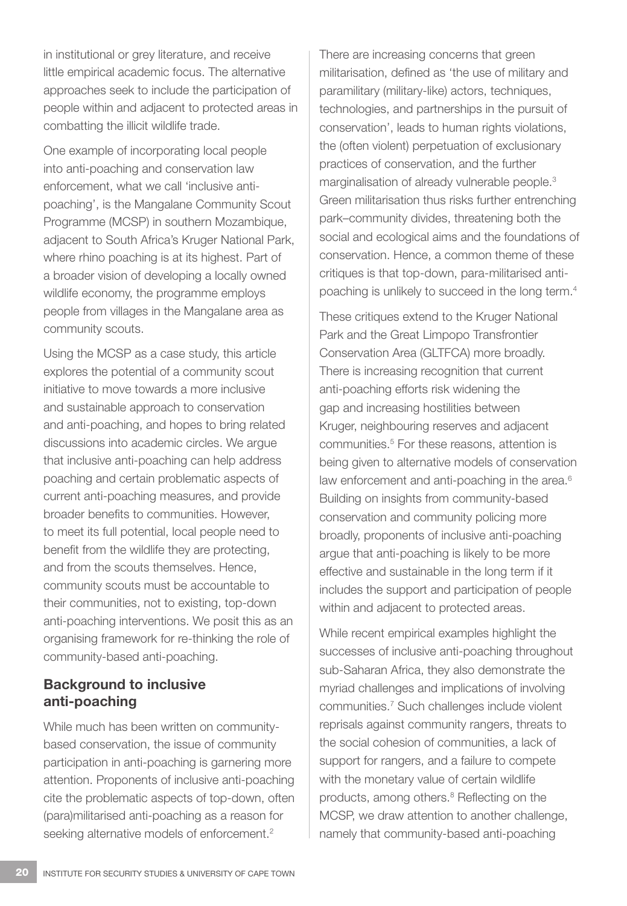in institutional or grey literature, and receive little empirical academic focus. The alternative approaches seek to include the participation of people within and adjacent to protected areas in combatting the illicit wildlife trade.

One example of incorporating local people into anti-poaching and conservation law enforcement, what we call 'inclusive antipoaching', is the Mangalane Community Scout Programme (MCSP) in southern Mozambique, adjacent to South Africa's Kruger National Park, where rhino poaching is at its highest. Part of a broader vision of developing a locally owned wildlife economy, the programme employs people from villages in the Mangalane area as community scouts.

Using the MCSP as a case study, this article explores the potential of a community scout initiative to move towards a more inclusive and sustainable approach to conservation and anti-poaching, and hopes to bring related discussions into academic circles. We argue that inclusive anti-poaching can help address poaching and certain problematic aspects of current anti-poaching measures, and provide broader benefits to communities. However, to meet its full potential, local people need to benefit from the wildlife they are protecting, and from the scouts themselves. Hence, community scouts must be accountable to their communities, not to existing, top-down anti-poaching interventions. We posit this as an organising framework for re-thinking the role of community-based anti-poaching.

### Background to inclusive anti-poaching

While much has been written on communitybased conservation, the issue of community participation in anti-poaching is garnering more attention. Proponents of inclusive anti-poaching cite the problematic aspects of top-down, often (para)militarised anti-poaching as a reason for seeking alternative models of enforcement.<sup>2</sup>

There are increasing concerns that green militarisation, defined as 'the use of military and paramilitary (military-like) actors, techniques, technologies, and partnerships in the pursuit of conservation', leads to human rights violations, the (often violent) perpetuation of exclusionary practices of conservation, and the further marginalisation of already vulnerable people.3 Green militarisation thus risks further entrenching park–community divides, threatening both the social and ecological aims and the foundations of conservation. Hence, a common theme of these critiques is that top-down, para-militarised antipoaching is unlikely to succeed in the long term.4

These critiques extend to the Kruger National Park and the Great Limpopo Transfrontier Conservation Area (GLTFCA) more broadly. There is increasing recognition that current anti-poaching efforts risk widening the gap and increasing hostilities between Kruger, neighbouring reserves and adjacent communities.5 For these reasons, attention is being given to alternative models of conservation law enforcement and anti-poaching in the area.<sup>6</sup> Building on insights from community-based conservation and community policing more broadly, proponents of inclusive anti-poaching argue that anti-poaching is likely to be more effective and sustainable in the long term if it includes the support and participation of people within and adjacent to protected areas.

While recent empirical examples highlight the successes of inclusive anti-poaching throughout sub-Saharan Africa, they also demonstrate the myriad challenges and implications of involving communities.7 Such challenges include violent reprisals against community rangers, threats to the social cohesion of communities, a lack of support for rangers, and a failure to compete with the monetary value of certain wildlife products, among others.<sup>8</sup> Reflecting on the MCSP, we draw attention to another challenge, namely that community-based anti-poaching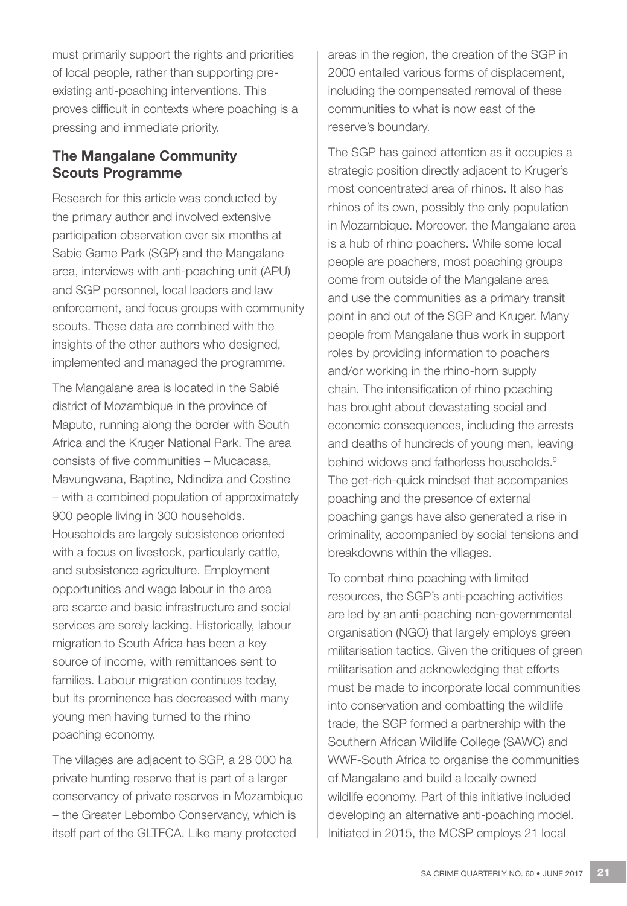must primarily support the rights and priorities of local people, rather than supporting preexisting anti-poaching interventions. This proves difficult in contexts where poaching is a pressing and immediate priority.

## The Mangalane Community Scouts Programme

Research for this article was conducted by the primary author and involved extensive participation observation over six months at Sabie Game Park (SGP) and the Mangalane area, interviews with anti-poaching unit (APU) and SGP personnel, local leaders and law enforcement, and focus groups with community scouts. These data are combined with the insights of the other authors who designed, implemented and managed the programme.

The Mangalane area is located in the Sabié district of Mozambique in the province of Maputo, running along the border with South Africa and the Kruger National Park. The area consists of five communities – Mucacasa, Mavungwana, Baptine, Ndindiza and Costine – with a combined population of approximately 900 people living in 300 households. Households are largely subsistence oriented with a focus on livestock, particularly cattle, and subsistence agriculture. Employment opportunities and wage labour in the area are scarce and basic infrastructure and social services are sorely lacking. Historically, labour migration to South Africa has been a key source of income, with remittances sent to families. Labour migration continues today, but its prominence has decreased with many young men having turned to the rhino poaching economy.

The villages are adjacent to SGP, a 28 000 ha private hunting reserve that is part of a larger conservancy of private reserves in Mozambique – the Greater Lebombo Conservancy, which is itself part of the GLTFCA. Like many protected

areas in the region, the creation of the SGP in 2000 entailed various forms of displacement, including the compensated removal of these communities to what is now east of the reserve's boundary.

The SGP has gained attention as it occupies a strategic position directly adjacent to Kruger's most concentrated area of rhinos. It also has rhinos of its own, possibly the only population in Mozambique. Moreover, the Mangalane area is a hub of rhino poachers. While some local people are poachers, most poaching groups come from outside of the Mangalane area and use the communities as a primary transit point in and out of the SGP and Kruger. Many people from Mangalane thus work in support roles by providing information to poachers and/or working in the rhino-horn supply chain. The intensification of rhino poaching has brought about devastating social and economic consequences, including the arrests and deaths of hundreds of young men, leaving behind widows and fatherless households.<sup>9</sup> The get-rich-quick mindset that accompanies poaching and the presence of external poaching gangs have also generated a rise in criminality, accompanied by social tensions and breakdowns within the villages.

To combat rhino poaching with limited resources, the SGP's anti-poaching activities are led by an anti-poaching non-governmental organisation (NGO) that largely employs green militarisation tactics. Given the critiques of green militarisation and acknowledging that efforts must be made to incorporate local communities into conservation and combatting the wildlife trade, the SGP formed a partnership with the Southern African Wildlife College (SAWC) and WWF-South Africa to organise the communities of Mangalane and build a locally owned wildlife economy. Part of this initiative included developing an alternative anti-poaching model. Initiated in 2015, the MCSP employs 21 local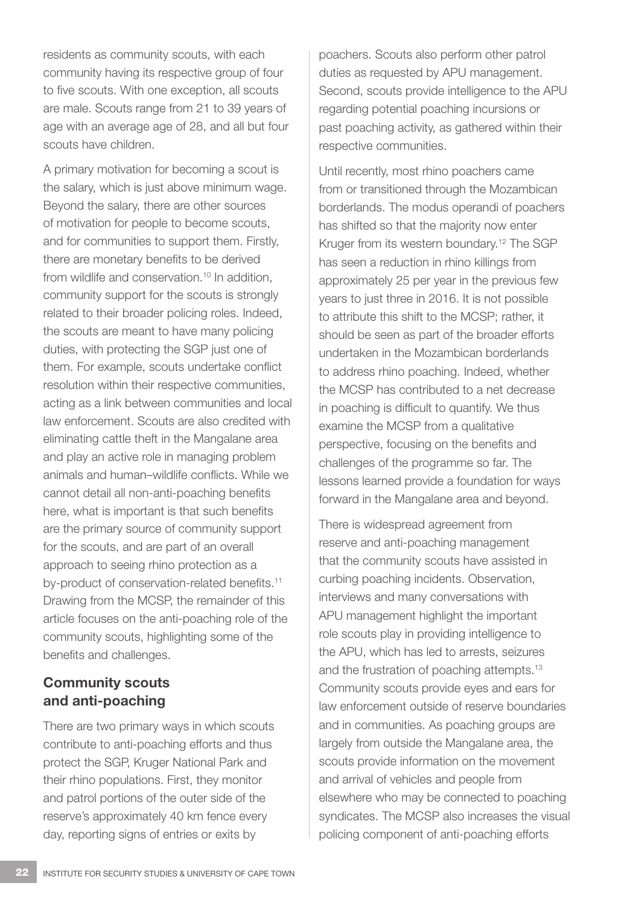residents as community scouts, with each community having its respective group of four to five scouts. With one exception, all scouts are male. Scouts range from 21 to 39 years of age with an average age of 28, and all but four scouts have children.

A primary motivation for becoming a scout is the salary, which is just above minimum wage. Beyond the salary, there are other sources of motivation for people to become scouts, and for communities to support them. Firstly, there are monetary benefits to be derived from wildlife and conservation.<sup>10</sup> In addition. community support for the scouts is strongly related to their broader policing roles. Indeed, the scouts are meant to have many policing duties, with protecting the SGP just one of them. For example, scouts undertake conflict resolution within their respective communities, acting as a link between communities and local law enforcement. Scouts are also credited with eliminating cattle theft in the Mangalane area and play an active role in managing problem animals and human–wildlife conflicts. While we cannot detail all non-anti-poaching benefits here, what is important is that such benefits are the primary source of community support for the scouts, and are part of an overall approach to seeing rhino protection as a by-product of conservation-related benefits.<sup>11</sup> Drawing from the MCSP, the remainder of this article focuses on the anti-poaching role of the community scouts, highlighting some of the benefits and challenges.

# Community scouts and anti-poaching

There are two primary ways in which scouts contribute to anti-poaching efforts and thus protect the SGP, Kruger National Park and their rhino populations. First, they monitor and patrol portions of the outer side of the reserve's approximately 40 km fence every day, reporting signs of entries or exits by

poachers. Scouts also perform other patrol duties as requested by APU management. Second, scouts provide intelligence to the APU regarding potential poaching incursions or past poaching activity, as gathered within their respective communities.

Until recently, most rhino poachers came from or transitioned through the Mozambican borderlands. The modus operandi of poachers has shifted so that the majority now enter Kruger from its western boundary.12 The SGP has seen a reduction in rhino killings from approximately 25 per year in the previous few years to just three in 2016. It is not possible to attribute this shift to the MCSP; rather, it should be seen as part of the broader efforts undertaken in the Mozambican borderlands to address rhino poaching. Indeed, whether the MCSP has contributed to a net decrease in poaching is difficult to quantify. We thus examine the MCSP from a qualitative perspective, focusing on the benefits and challenges of the programme so far. The lessons learned provide a foundation for ways forward in the Mangalane area and beyond.

There is widespread agreement from reserve and anti-poaching management that the community scouts have assisted in curbing poaching incidents. Observation, interviews and many conversations with APU management highlight the important role scouts play in providing intelligence to the APU, which has led to arrests, seizures and the frustration of poaching attempts.<sup>13</sup> Community scouts provide eyes and ears for law enforcement outside of reserve boundaries and in communities. As poaching groups are largely from outside the Mangalane area, the scouts provide information on the movement and arrival of vehicles and people from elsewhere who may be connected to poaching syndicates. The MCSP also increases the visual policing component of anti-poaching efforts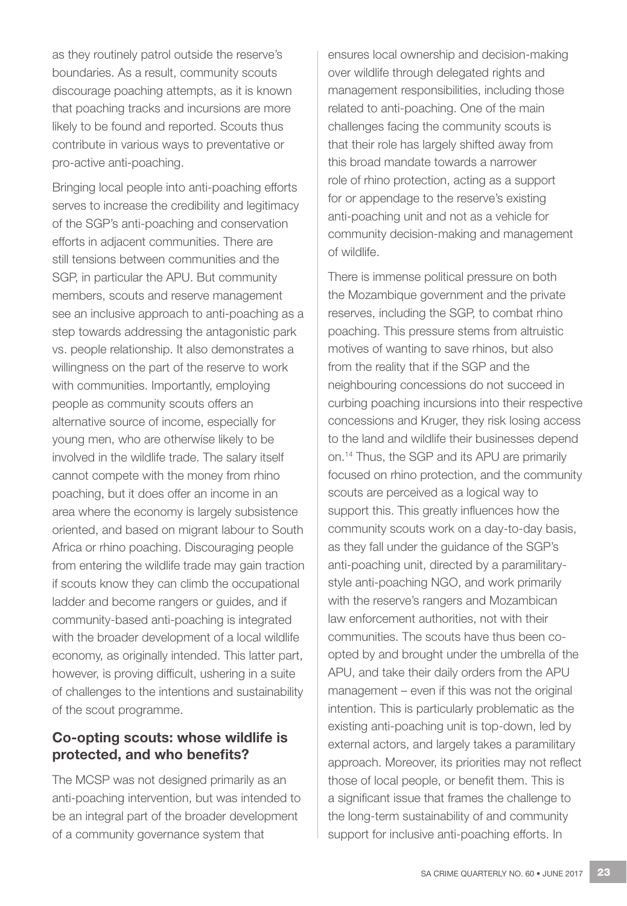as they routinely patrol outside the reserve's boundaries. As a result, community scouts discourage poaching attempts, as it is known that poaching tracks and incursions are more likely to be found and reported. Scouts thus contribute in various ways to preventative or pro-active anti-poaching.

Bringing local people into anti-poaching efforts serves to increase the credibility and legitimacy of the SGP's anti-poaching and conservation efforts in adjacent communities. There are still tensions between communities and the SGP, in particular the APU. But community members, scouts and reserve management see an inclusive approach to anti-poaching as a step towards addressing the antagonistic park vs. people relationship. It also demonstrates a willingness on the part of the reserve to work with communities. Importantly, employing people as community scouts offers an alternative source of income, especially for young men, who are otherwise likely to be involved in the wildlife trade. The salary itself cannot compete with the money from rhino poaching, but it does offer an income in an area where the economy is largely subsistence oriented, and based on migrant labour to South Africa or rhino poaching. Discouraging people from entering the wildlife trade may gain traction if scouts know they can climb the occupational ladder and become rangers or guides, and if community-based anti-poaching is integrated with the broader development of a local wildlife economy, as originally intended. This latter part, however, is proving difficult, ushering in a suite of challenges to the intentions and sustainability of the scout programme.

### Co-opting scouts: whose wildlife is protected, and who benefits?

The MCSP was not designed primarily as an anti-poaching intervention, but was intended to be an integral part of the broader development of a community governance system that

ensures local ownership and decision-making over wildlife through delegated rights and management responsibilities, including those related to anti-poaching. One of the main challenges facing the community scouts is that their role has largely shifted away from this broad mandate towards a narrower role of rhino protection, acting as a support for or appendage to the reserve's existing anti-poaching unit and not as a vehicle for community decision-making and management of wildlife.

There is immense political pressure on both the Mozambique government and the private reserves, including the SGP, to combat rhino poaching. This pressure stems from altruistic motives of wanting to save rhinos, but also from the reality that if the SGP and the neighbouring concessions do not succeed in curbing poaching incursions into their respective concessions and Kruger, they risk losing access to the land and wildlife their businesses depend on.14 Thus, the SGP and its APU are primarily focused on rhino protection, and the community scouts are perceived as a logical way to support this. This greatly influences how the community scouts work on a day-to-day basis, as they fall under the guidance of the SGP's anti-poaching unit, directed by a paramilitarystyle anti-poaching NGO, and work primarily with the reserve's rangers and Mozambican law enforcement authorities, not with their communities. The scouts have thus been coopted by and brought under the umbrella of the APU, and take their daily orders from the APU management – even if this was not the original intention. This is particularly problematic as the existing anti-poaching unit is top-down, led by external actors, and largely takes a paramilitary approach. Moreover, its priorities may not reflect those of local people, or benefit them. This is a significant issue that frames the challenge to the long-term sustainability of and community support for inclusive anti-poaching efforts. In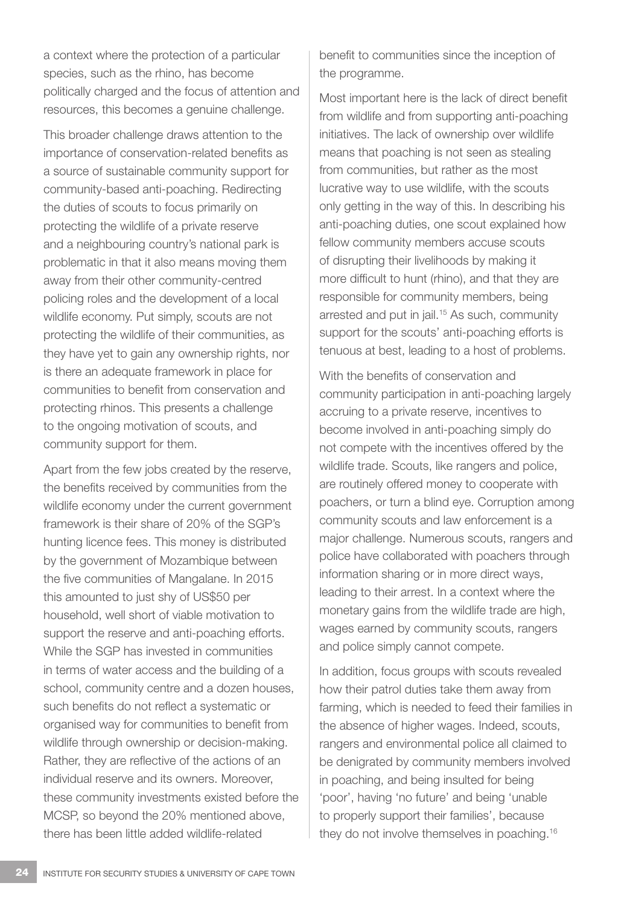a context where the protection of a particular species, such as the rhino, has become politically charged and the focus of attention and resources, this becomes a genuine challenge.

This broader challenge draws attention to the importance of conservation-related benefits as a source of sustainable community support for community-based anti-poaching. Redirecting the duties of scouts to focus primarily on protecting the wildlife of a private reserve and a neighbouring country's national park is problematic in that it also means moving them away from their other community-centred policing roles and the development of a local wildlife economy. Put simply, scouts are not protecting the wildlife of their communities, as they have yet to gain any ownership rights, nor is there an adequate framework in place for communities to benefit from conservation and protecting rhinos. This presents a challenge to the ongoing motivation of scouts, and community support for them.

Apart from the few jobs created by the reserve, the benefits received by communities from the wildlife economy under the current government framework is their share of 20% of the SGP's hunting licence fees. This money is distributed by the government of Mozambique between the five communities of Mangalane. In 2015 this amounted to just shy of US\$50 per household, well short of viable motivation to support the reserve and anti-poaching efforts. While the SGP has invested in communities in terms of water access and the building of a school, community centre and a dozen houses, such benefits do not reflect a systematic or organised way for communities to benefit from wildlife through ownership or decision-making. Rather, they are reflective of the actions of an individual reserve and its owners. Moreover, these community investments existed before the MCSP, so beyond the 20% mentioned above, there has been little added wildlife-related

benefit to communities since the inception of the programme.

Most important here is the lack of direct benefit from wildlife and from supporting anti-poaching initiatives. The lack of ownership over wildlife means that poaching is not seen as stealing from communities, but rather as the most lucrative way to use wildlife, with the scouts only getting in the way of this. In describing his anti-poaching duties, one scout explained how fellow community members accuse scouts of disrupting their livelihoods by making it more difficult to hunt (rhino), and that they are responsible for community members, being arrested and put in jail.15 As such, community support for the scouts' anti-poaching efforts is tenuous at best, leading to a host of problems.

With the benefits of conservation and community participation in anti-poaching largely accruing to a private reserve, incentives to become involved in anti-poaching simply do not compete with the incentives offered by the wildlife trade. Scouts, like rangers and police, are routinely offered money to cooperate with poachers, or turn a blind eye. Corruption among community scouts and law enforcement is a major challenge. Numerous scouts, rangers and police have collaborated with poachers through information sharing or in more direct ways, leading to their arrest. In a context where the monetary gains from the wildlife trade are high, wages earned by community scouts, rangers and police simply cannot compete.

In addition, focus groups with scouts revealed how their patrol duties take them away from farming, which is needed to feed their families in the absence of higher wages. Indeed, scouts, rangers and environmental police all claimed to be denigrated by community members involved in poaching, and being insulted for being 'poor', having 'no future' and being 'unable to properly support their families', because they do not involve themselves in poaching.16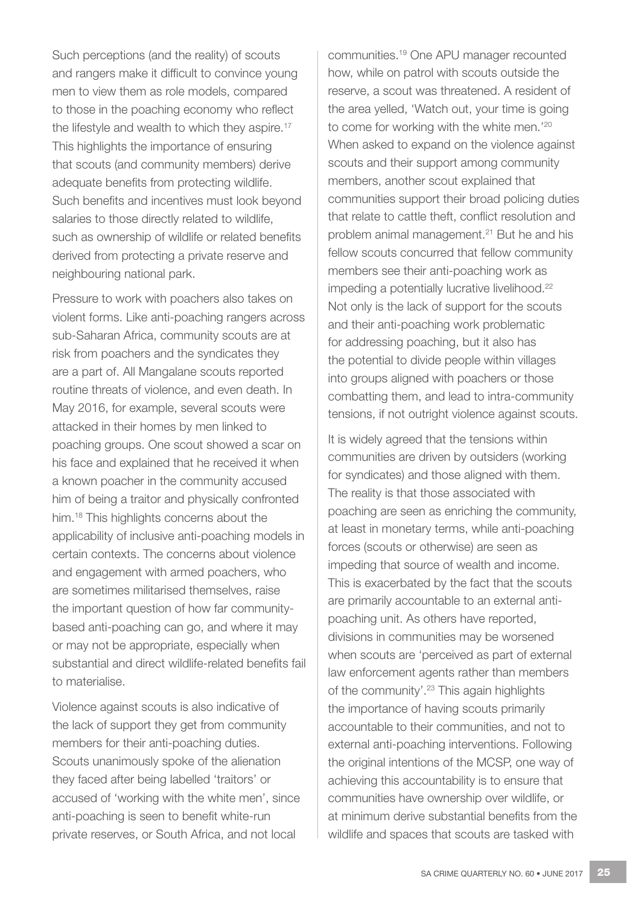Such perceptions (and the reality) of scouts and rangers make it difficult to convince young men to view them as role models, compared to those in the poaching economy who reflect the lifestyle and wealth to which they aspire.<sup>17</sup> This highlights the importance of ensuring that scouts (and community members) derive adequate benefits from protecting wildlife. Such benefits and incentives must look beyond salaries to those directly related to wildlife, such as ownership of wildlife or related benefits derived from protecting a private reserve and neighbouring national park.

Pressure to work with poachers also takes on violent forms. Like anti-poaching rangers across sub-Saharan Africa, community scouts are at risk from poachers and the syndicates they are a part of. All Mangalane scouts reported routine threats of violence, and even death. In May 2016, for example, several scouts were attacked in their homes by men linked to poaching groups. One scout showed a scar on his face and explained that he received it when a known poacher in the community accused him of being a traitor and physically confronted him.<sup>18</sup> This highlights concerns about the applicability of inclusive anti-poaching models in certain contexts. The concerns about violence and engagement with armed poachers, who are sometimes militarised themselves, raise the important question of how far communitybased anti-poaching can go, and where it may or may not be appropriate, especially when substantial and direct wildlife-related benefits fail to materialise.

Violence against scouts is also indicative of the lack of support they get from community members for their anti-poaching duties. Scouts unanimously spoke of the alienation they faced after being labelled 'traitors' or accused of 'working with the white men', since anti-poaching is seen to benefit white-run private reserves, or South Africa, and not local

communities.19 One APU manager recounted how, while on patrol with scouts outside the reserve, a scout was threatened. A resident of the area yelled, 'Watch out, your time is going to come for working with the white men.<sup>'20</sup> When asked to expand on the violence against scouts and their support among community members, another scout explained that communities support their broad policing duties that relate to cattle theft, conflict resolution and problem animal management.21 But he and his fellow scouts concurred that fellow community members see their anti-poaching work as impeding a potentially lucrative livelihood.<sup>22</sup> Not only is the lack of support for the scouts and their anti-poaching work problematic for addressing poaching, but it also has the potential to divide people within villages into groups aligned with poachers or those combatting them, and lead to intra-community tensions, if not outright violence against scouts.

It is widely agreed that the tensions within communities are driven by outsiders (working for syndicates) and those aligned with them. The reality is that those associated with poaching are seen as enriching the community, at least in monetary terms, while anti-poaching forces (scouts or otherwise) are seen as impeding that source of wealth and income. This is exacerbated by the fact that the scouts are primarily accountable to an external antipoaching unit. As others have reported, divisions in communities may be worsened when scouts are 'perceived as part of external law enforcement agents rather than members of the community'.<sup>23</sup> This again highlights the importance of having scouts primarily accountable to their communities, and not to external anti-poaching interventions. Following the original intentions of the MCSP, one way of achieving this accountability is to ensure that communities have ownership over wildlife, or at minimum derive substantial benefits from the wildlife and spaces that scouts are tasked with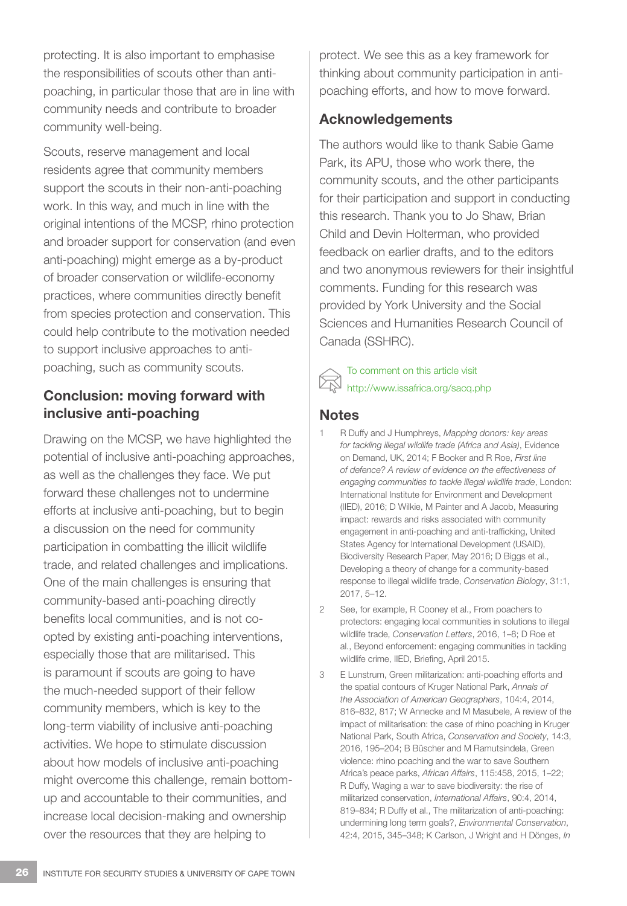protecting. It is also important to emphasise the responsibilities of scouts other than antipoaching, in particular those that are in line with community needs and contribute to broader community well-being.

Scouts, reserve management and local residents agree that community members support the scouts in their non-anti-poaching work. In this way, and much in line with the original intentions of the MCSP, rhino protection and broader support for conservation (and even anti-poaching) might emerge as a by-product of broader conservation or wildlife-economy practices, where communities directly benefit from species protection and conservation. This could help contribute to the motivation needed to support inclusive approaches to antipoaching, such as community scouts.

# Conclusion: moving forward with inclusive anti-poaching

Drawing on the MCSP, we have highlighted the potential of inclusive anti-poaching approaches, as well as the challenges they face. We put forward these challenges not to undermine efforts at inclusive anti-poaching, but to begin a discussion on the need for community participation in combatting the illicit wildlife trade, and related challenges and implications. One of the main challenges is ensuring that community-based anti-poaching directly benefits local communities, and is not coopted by existing anti-poaching interventions, especially those that are militarised. This is paramount if scouts are going to have the much-needed support of their fellow community members, which is key to the long-term viability of inclusive anti-poaching activities. We hope to stimulate discussion about how models of inclusive anti-poaching might overcome this challenge, remain bottomup and accountable to their communities, and increase local decision-making and ownership over the resources that they are helping to

protect. We see this as a key framework for thinking about community participation in antipoaching efforts, and how to move forward.

# Acknowledgements

The authors would like to thank Sabie Game Park, its APU, those who work there, the community scouts, and the other participants for their participation and support in conducting this research. Thank you to Jo Shaw, Brian Child and Devin Holterman, who provided feedback on earlier drafts, and to the editors and two anonymous reviewers for their insightful comments. Funding for this research was provided by York University and the Social Sciences and Humanities Research Council of Canada (SSHRC).



To comment on this article visit http://www.issafrica.org/sacq.php

#### **Notes**

- 1 R Duffy and J Humphreys, *Mapping donors: key areas for tackling illegal wildlife trade (Africa and Asia)*, Evidence on Demand, UK, 2014; F Booker and R Roe, *First line of defence? A review of evidence on the effectiveness of engaging communities to tackle illegal wildlife trade*, London: International Institute for Environment and Development (IIED), 2016; D Wilkie, M Painter and A Jacob, Measuring impact: rewards and risks associated with community engagement in anti-poaching and anti-trafficking, United States Agency for International Development (USAID), Biodiversity Research Paper, May 2016; D Biggs et al., Developing a theory of change for a community-based response to illegal wildlife trade, *Conservation Biology*, 31:1, 2017, 5–12.
- 2 See, for example, R Cooney et al., From poachers to protectors: engaging local communities in solutions to illegal wildlife trade, *Conservation Letters*, 2016, 1–8; D Roe et al., Beyond enforcement: engaging communities in tackling wildlife crime, IIED, Briefing, April 2015.
- 3 E Lunstrum, Green militarization: anti-poaching efforts and the spatial contours of Kruger National Park, *Annals of the Association of American Geographers*, 104:4, 2014, 816–832, 817; W Annecke and M Masubele, A review of the impact of militarisation: the case of rhino poaching in Kruger National Park, South Africa, *Conservation and Society*, 14:3, 2016, 195–204; B Büscher and M Ramutsindela, Green violence: rhino poaching and the war to save Southern Africa's peace parks, *African Affairs*, 115:458, 2015, 1–22; R Duffy, Waging a war to save biodiversity: the rise of militarized conservation, *International Affairs*, 90:4, 2014, 819–834; R Duffy et al., The militarization of anti-poaching: undermining long term goals?, *Environmental Conservation*, 42:4, 2015, 345–348; K Carlson, J Wright and H Dönges, *In*